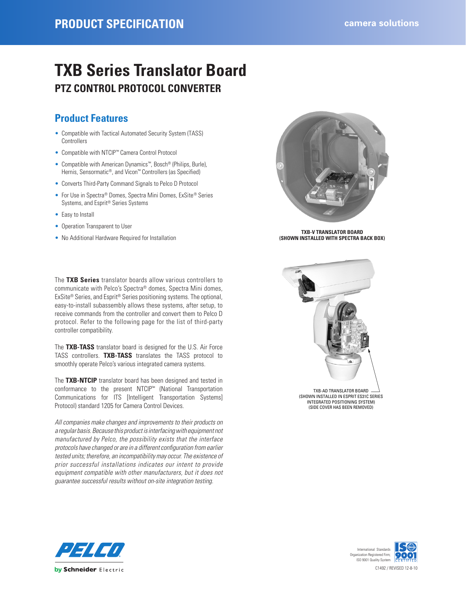### **PRODUCT SPECIFICATION CALCER 2 CALCER 2 CALCER 2 CALCER 2 CALCER 2 CALCER 2 CALCER 2 CALCER 2 CALCER 2 CALCER 2 CALCER 2 CALCER 2 CALCER 2 CALCER 2 CALCER 2 CALCER 3 CALCER 3 CALCER 3**

# **TXB Series Translator Board PTZ CONTROL PROTOCOL CONVERTER**

### **Product Features**

- Compatible with Tactical Automated Security System (TASS) **Controllers**
- Compatible with NTCIP™ Camera Control Protocol
- Compatible with American Dynamics™, Bosch® (Philips, Burle), Hernis, Sensormatic®, and Vicon<sup>™</sup> Controllers (as Specified)
- Converts Third-Party Command Signals to Pelco D Protocol
- For Use in Spectra® Domes, Spectra Mini Domes, ExSite® Series Systems, and Esprit® Series Systems
- Easy to Install
- Operation Transparent to User
- No Additional Hardware Required for Installation

The **TXB Series** translator boards allow various controllers to communicate with Pelco's Spectra® domes, Spectra Mini domes, ExSite® Series, and Esprit® Series positioning systems. The optional, easy-to-install subassembly allows these systems, after setup, to receive commands from the controller and convert them to Pelco D protocol. Refer to the following page for the list of third-party controller compatibility.

The **TXB-TASS** translator board is designed for the U.S. Air Force TASS controllers. **TXB-TASS** translates the TASS protocol to smoothly operate Pelco's various integrated camera systems.

The **TXB-NTCIP** translator board has been designed and tested in conformance to the present NTCIP™ (National Transportation Communications for ITS [Intelligent Transportation Systems] Protocol) standard 1205 for Camera Control Devices.

*All companies make changes and improvements to their products on a regular basis. Because this product is interfacing with equipment not manufactured by Pelco, the possibility exists that the interface protocols have changed or are in a different configuration from earlier tested units; therefore, an incompatibility may occur. The existence of prior successful installations indicates our intent to provide equipment compatible with other manufacturers, but it does not guarantee successful results without on-site integration testing.*



**TXB-V TRANSLATOR BOARD (SHOWN INSTALLED WITH SPECTRA BACK BOX)**



TXB-AD TRANSLATOR BOARD (SHOWN INSTALLED IN ESPRIT ES31C SERIES INTEGRATED POSITIONING SYSTEM) (SIDE COVER HAS BEEN REMOVED)